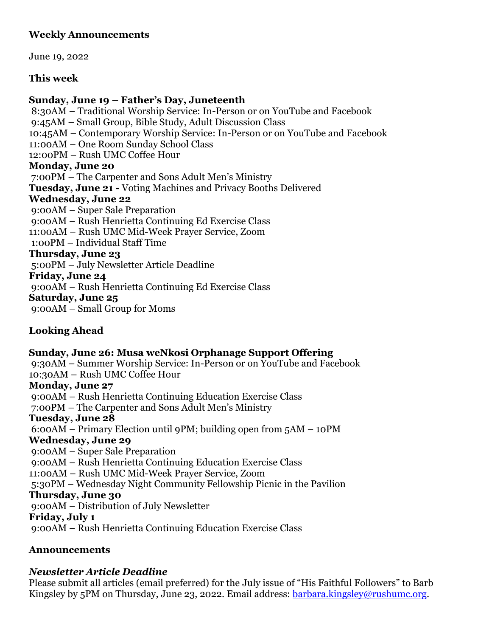# **Weekly Announcements**

June 19, 2022

# **This week**

# **Sunday, June 19 – Father's Day, Juneteenth**

8:30AM – Traditional Worship Service: In-Person or on YouTube and Facebook 9:45AM – Small Group, Bible Study, Adult Discussion Class 10:45AM – Contemporary Worship Service: In-Person or on YouTube and Facebook 11:00AM – One Room Sunday School Class 12:00PM – Rush UMC Coffee Hour **Monday, June 20** 7:00PM – The Carpenter and Sons Adult Men's Ministry **Tuesday, June 21 -** Voting Machines and Privacy Booths Delivered **Wednesday, June 22** 9:00AM – Super Sale Preparation 9:00AM – Rush Henrietta Continuing Ed Exercise Class 11:00AM – Rush UMC Mid-Week Prayer Service, Zoom 1:00PM – Individual Staff Time **Thursday, June 23** 5:00PM – July Newsletter Article Deadline **Friday, June 24** 9:00AM – Rush Henrietta Continuing Ed Exercise Class **Saturday, June 25** 9:00AM – Small Group for Moms

# **Looking Ahead**

# **Sunday, June 26: Musa weNkosi Orphanage Support Offering**

9:30AM – Summer Worship Service: In-Person or on YouTube and Facebook 10:30AM – Rush UMC Coffee Hour

# **Monday, June 27**

9:00AM – Rush Henrietta Continuing Education Exercise Class

7:00PM – The Carpenter and Sons Adult Men's Ministry

# **Tuesday, June 28**

6:00AM – Primary Election until 9PM; building open from 5AM – 10PM

# **Wednesday, June 29**

9:00AM – Super Sale Preparation

9:00AM – Rush Henrietta Continuing Education Exercise Class

11:00AM – Rush UMC Mid-Week Prayer Service, Zoom

5:30PM – Wednesday Night Community Fellowship Picnic in the Pavilion

# **Thursday, June 30**

9:00AM – Distribution of July Newsletter

# **Friday, July 1**

9:00AM – Rush Henrietta Continuing Education Exercise Class

# **Announcements**

# *Newsletter Article Deadline*

Please submit all articles (email preferred) for the July issue of "His Faithful Followers" to Barb Kingsley by 5PM on Thursday, June 23, 2022. Email address: [barbara.kingsley@rushumc.org.](mailto:barbara.kingsley@rushumc.org)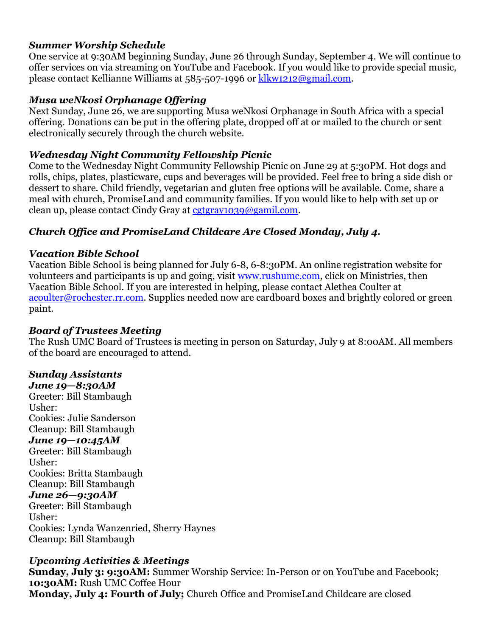#### *Summer Worship Schedule*

One service at 9:30AM beginning Sunday, June 26 through Sunday, September 4. We will continue to offer services on via streaming on YouTube and Facebook. If you would like to provide special music, please contact Kellianne Williams at 585-507-1996 or [klkw1212@gmail.com.](klkw1212@gmail.com)

#### *Musa weNkosi Orphanage Offering*

Next Sunday, June 26, we are supporting Musa weNkosi Orphanage in South Africa with a special offering. Donations can be put in the offering plate, dropped off at or mailed to the church or sent electronically securely through the church website.

# *Wednesday Night Community Fellowship Picnic*

Come to the Wednesday Night Community Fellowship Picnic on June 29 at 5:30PM. Hot dogs and rolls, chips, plates, plasticware, cups and beverages will be provided. Feel free to bring a side dish or dessert to share. Child friendly, vegetarian and gluten free options will be available. Come, share a meal with church, PromiseLand and community families. If you would like to help with set up or clean up, please contact Cindy Gray at [cgtgray1039@gamil.com.](cgtgray1039@gamil.com)

# *Church Office and PromiseLand Childcare Are Closed Monday, July 4.*

# *Vacation Bible School*

Vacation Bible School is being planned for July 6-8, 6-8:30PM. An online registration website for volunteers and participants is up and going, visit [www.rushumc.com,](http://www.rushumc.com/ministries/vacationbibleschool) click on Ministries, then Vacation Bible School. If you are interested in helping, please contact Alethea Coulter at [acoulter@rochester.rr.com.](https://rushumc-my.sharepoint.com/personal/barbara_kingsley_rushumc_org/Documents/Documents/2022%20Bulletins/Additional/acoulter@rochester.rr.com) Supplies needed now are cardboard boxes and brightly colored or green paint.

# *Board of Trustees Meeting*

The Rush UMC Board of Trustees is meeting in person on Saturday, July 9 at 8:00AM. All members of the board are encouraged to attend.

# *Sunday Assistants*

*June 19—8:30AM* Greeter: Bill Stambaugh Usher: Cookies: Julie Sanderson Cleanup: Bill Stambaugh *June 19—10:45AM* Greeter: Bill Stambaugh Usher: Cookies: Britta Stambaugh Cleanup: Bill Stambaugh *June 26—9:30AM* Greeter: Bill Stambaugh Usher: Cookies: Lynda Wanzenried, Sherry Haynes Cleanup: Bill Stambaugh

# *Upcoming Activities & Meetings*

**Sunday, July 3: 9:30AM:** Summer Worship Service: In-Person or on YouTube and Facebook; **10:30AM:** Rush UMC Coffee Hour **Monday, July 4: Fourth of July;** Church Office and PromiseLand Childcare are closed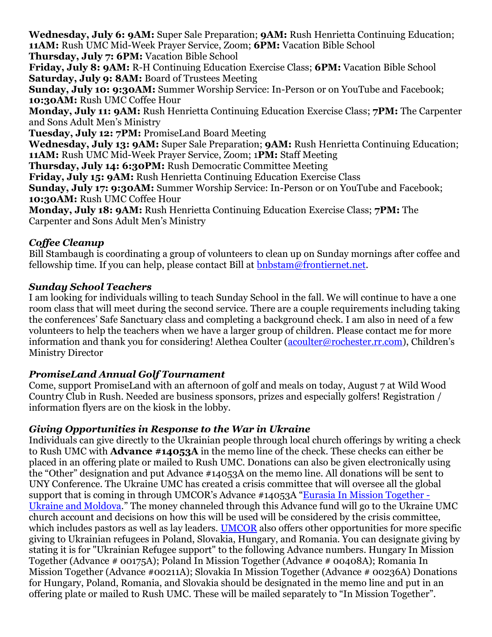**Wednesday, July 6: 9AM:** Super Sale Preparation; **9AM:** Rush Henrietta Continuing Education; **11AM:** Rush UMC Mid-Week Prayer Service, Zoom; **6PM:** Vacation Bible School **Thursday, July 7: 6PM:** Vacation Bible School

**Friday, July 8: 9AM:** R-H Continuing Education Exercise Class; **6PM:** Vacation Bible School **Saturday, July 9: 8AM:** Board of Trustees Meeting

**Sunday, July 10: 9:30AM:** Summer Worship Service: In-Person or on YouTube and Facebook; **10:30AM:** Rush UMC Coffee Hour

**Monday, July 11: 9AM:** Rush Henrietta Continuing Education Exercise Class; **7PM:** The Carpenter and Sons Adult Men's Ministry

**Tuesday, July 12: 7PM:** PromiseLand Board Meeting

**Wednesday, July 13: 9AM:** Super Sale Preparation; **9AM:** Rush Henrietta Continuing Education; **11AM:** Rush UMC Mid-Week Prayer Service, Zoom; 1**PM:** Staff Meeting

**Thursday, July 14: 6:30PM:** Rush Democratic Committee Meeting

**Friday, July 15: 9AM:** Rush Henrietta Continuing Education Exercise Class

**Sunday, July 17: 9:30AM:** Summer Worship Service: In-Person or on YouTube and Facebook; **10:30AM:** Rush UMC Coffee Hour

**Monday, July 18: 9AM:** Rush Henrietta Continuing Education Exercise Class; **7PM:** The Carpenter and Sons Adult Men's Ministry

# *Coffee Cleanup*

Bill Stambaugh is coordinating a group of volunteers to clean up on Sunday mornings after coffee and fellowship time. If you can help, please contact Bill at  $b$ nbstam@frontiernet.net.

# *Sunday School Teachers*

I am looking for individuals willing to teach Sunday School in the fall. We will continue to have a one room class that will meet during the second service. There are a couple requirements including taking the conferences' Safe Sanctuary class and completing a background check. I am also in need of a few volunteers to help the teachers when we have a larger group of children. Please contact me for more information and thank you for considering! Alethea Coulter [\(acoulter@rochester.rr.com](mailto:acoulter@rochester.rr.com)), Children's Ministry Director

# *PromiseLand Annual Golf Tournament*

Come, support PromiseLand with an afternoon of golf and meals on today, August 7 at Wild Wood Country Club in Rush. Needed are business sponsors, prizes and especially golfers! Registration / information flyers are on the kiosk in the lobby.

# *Giving Opportunities in Response to the War in Ukraine*

Individuals can give directly to the Ukrainian people through local church offerings by writing a check to Rush UMC with **Advance #14053A** in the memo line of the check. These checks can either be placed in an offering plate or mailed to Rush UMC. Donations can also be given electronically using the "Other" designation and put Advance #14053A on the memo line. All donations will be sent to UNY Conference. The Ukraine UMC has created a crisis committee that will oversee all the global support that is coming in through UMCOR's Advance #14053A "[Eurasia In Mission Together -](https://r20.rs6.net/tn.jsp?f=001D36-DhHqBJY0Ep5lAxxweA14-8IGRt5iJlRSz3_xiFHgdEdt9IrzVYKrcxa3MqGaZkLWX4HIXZ6UN2OpfVr7Us1tU5YnxLf1fJ7lWQzoa710yCbNd-0n_LHxjUvcx_fzmf3bg34poPjjj2mA61eMS2K4cJftlmC5o346CTaKCp5fpgU-_HyHlewlYI8iFvSRdpN34YUeziaQJlVKxA6KzBecI34PpYTHI9JbrGSStBs=&c=hYbWC2Tw7dQdkIgBYRgyLi1mBi9UBnAaI4xUstu3orUV88ByrCYV4w==&ch=THGEr6ma3PS2D_Cefp2XRHhv4DxdZ0_bhCYLIJEyRJuFW4MArKZQuQ==) [Ukraine and Moldova](https://r20.rs6.net/tn.jsp?f=001D36-DhHqBJY0Ep5lAxxweA14-8IGRt5iJlRSz3_xiFHgdEdt9IrzVYKrcxa3MqGaZkLWX4HIXZ6UN2OpfVr7Us1tU5YnxLf1fJ7lWQzoa710yCbNd-0n_LHxjUvcx_fzmf3bg34poPjjj2mA61eMS2K4cJftlmC5o346CTaKCp5fpgU-_HyHlewlYI8iFvSRdpN34YUeziaQJlVKxA6KzBecI34PpYTHI9JbrGSStBs=&c=hYbWC2Tw7dQdkIgBYRgyLi1mBi9UBnAaI4xUstu3orUV88ByrCYV4w==&ch=THGEr6ma3PS2D_Cefp2XRHhv4DxdZ0_bhCYLIJEyRJuFW4MArKZQuQ==)." The money channeled through this Advance fund will go to the Ukraine UMC church account and decisions on how this will be used will be considered by the crisis committee, which includes pastors as well as lay leaders. [UMCOR](https://r20.rs6.net/tn.jsp?f=001D36-DhHqBJY0Ep5lAxxweA14-8IGRt5iJlRSz3_xiFHgdEdt9IrzVYKrcxa3MqGawTpb8ocQyZqKdP8-oaHKgdgyCfUTFi9yKqjpUFz9iIhzrbX0TZmdSsRi2n7pERnYkhtIYFcFJUfdDb7ejs1KBg==&c=hYbWC2Tw7dQdkIgBYRgyLi1mBi9UBnAaI4xUstu3orUV88ByrCYV4w==&ch=THGEr6ma3PS2D_Cefp2XRHhv4DxdZ0_bhCYLIJEyRJuFW4MArKZQuQ==) also offers other opportunities for more specific giving to Ukrainian refugees in Poland, Slovakia, Hungary, and Romania. You can designate giving by stating it is for "Ukrainian Refugee support" to the following Advance numbers. Hungary In Mission Together (Advance # 00175A); Poland In Mission Together (Advance # 00408A); Romania In Mission Together (Advance #00211A); Slovakia In Mission Together (Advance # 00236A) Donations for Hungary, Poland, Romania, and Slovakia should be designated in the memo line and put in an offering plate or mailed to Rush UMC. These will be mailed separately to "In Mission Together".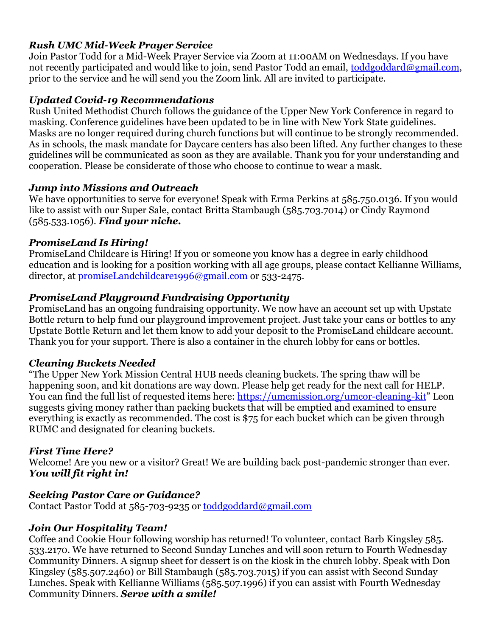# *Rush UMC Mid-Week Prayer Service*

Join Pastor Todd for a Mid-Week Prayer Service via Zoom at 11:00AM on Wednesdays. If you have not recently participated and would like to join, send Pastor Todd an email, [toddgoddard@gmail.com,](mailto:toddgoddard@gmail.com) prior to the service and he will send you the Zoom link. All are invited to participate.

# *Updated Covid-19 Recommendations*

Rush United Methodist Church follows the guidance of the Upper New York Conference in regard to masking. Conference guidelines have been updated to be in line with New York State guidelines. Masks are no longer required during church functions but will continue to be strongly recommended. As in schools, the mask mandate for Daycare centers has also been lifted. Any further changes to these guidelines will be communicated as soon as they are available. Thank you for your understanding and cooperation. Please be considerate of those who choose to continue to wear a mask.

# *Jump into Missions and Outreach*

We have opportunities to serve for everyone! Speak with Erma Perkins at 585.750.0136. If you would like to assist with our Super Sale, contact Britta Stambaugh (585.703.7014) or Cindy Raymond (585.533.1056). *Find your niche.*

# *PromiseLand Is Hiring!*

PromiseLand Childcare is Hiring! If you or someone you know has a degree in early childhood education and is looking for a position working with all age groups, please contact Kellianne Williams, director, at [promiseLandchildcare1996@gmail.com](file:///C:/Users/My%20Computer/Documents/RUSHUMC%20WORD/Bulletins%202021/Additional/promiseLandchildcare1996@gmail.com) or 533-2475.

# *PromiseLand Playground Fundraising Opportunity*

PromiseLand has an ongoing fundraising opportunity. We now have an account set up with Upstate Bottle return to help fund our playground improvement project. Just take your cans or bottles to any Upstate Bottle Return and let them know to add your deposit to the PromiseLand childcare account. Thank you for your support. There is also a container in the church lobby for cans or bottles.

# *Cleaning Buckets Needed*

"The Upper New York Mission Central HUB needs cleaning buckets. The spring thaw will be happening soon, and kit donations are way down. Please help get ready for the next call for HELP. You can find the full list of requested items here: [https://umcmission.org/umcor-cleaning-kit](https://rushumc.us6.list-manage.com/track/click?u=008a39b497c08ef91e5463cd5&id=2b2836e774&e=69dc325d9d)" Leon suggests giving money rather than packing buckets that will be emptied and examined to ensure everything is exactly as recommended. The cost is \$75 for each bucket which can be given through RUMC and designated for cleaning buckets.

# *First Time Here?*

Welcome! Are you new or a visitor? Great! We are building back post-pandemic stronger than ever. *You will fit right in!*

# *Seeking Pastor Care or Guidance?*

Contact Pastor Todd at 585-703-9235 or [toddgoddard@gmail.com](mailto:toddgoddard@gmail.com)

# *Join Our Hospitality Team!*

Coffee and Cookie Hour following worship has returned! To volunteer, contact Barb Kingsley 585. 533.2170. We have returned to Second Sunday Lunches and will soon return to Fourth Wednesday Community Dinners. A signup sheet for dessert is on the kiosk in the church lobby. Speak with Don Kingsley (585.507.2460) or Bill Stambaugh (585.703.7015) if you can assist with Second Sunday Lunches. Speak with Kellianne Williams (585.507.1996) if you can assist with Fourth Wednesday Community Dinners. *Serve with a smile!*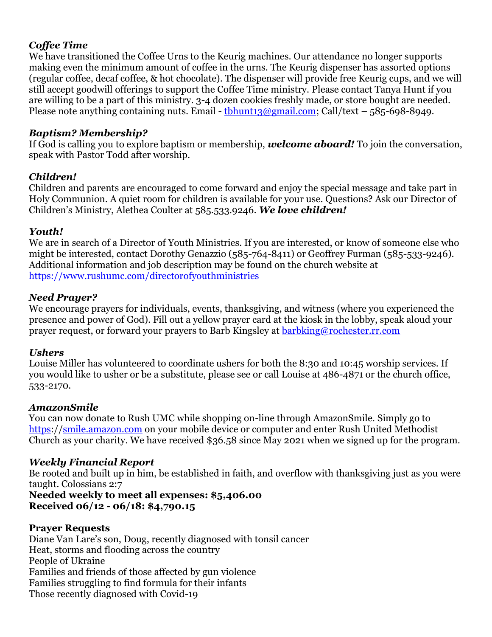# *Coffee Time*

We have transitioned the Coffee Urns to the Keurig machines. Our attendance no longer supports making even the minimum amount of coffee in the urns. The Keurig dispenser has assorted options (regular coffee, decaf coffee, & hot chocolate). The dispenser will provide free Keurig cups, and we will still accept goodwill offerings to support the Coffee Time ministry. Please contact Tanya Hunt if you are willing to be a part of this ministry. 3-4 dozen cookies freshly made, or store bought are needed. Please note anything containing nuts. Email - thhunt13@gmail.com; Call/text – 585-698-8949.

# *Baptism? Membership?*

If God is calling you to explore baptism or membership, *welcome aboard!* To join the conversation, speak with Pastor Todd after worship.

# *Children!*

Children and parents are encouraged to come forward and enjoy the special message and take part in Holy Communion. A quiet room for children is available for your use. Questions? Ask our Director of Children's Ministry, Alethea Coulter at 585.533.9246. *We love children!*

# *Youth!*

We are in search of a Director of Youth Ministries. If you are interested, or know of someone else who might be interested, contact Dorothy Genazzio (585-764-8411) or Geoffrey Furman (585-533-9246). Additional information and job description may be found on the church website at <https://www.rushumc.com/directorofyouthministries>

# *Need Prayer?*

We encourage prayers for individuals, events, thanksgiving, and witness (where you experienced the presence and power of God). Fill out a yellow prayer card at the kiosk in the lobby, speak aloud your prayer request, or forward your prayers to Barb Kingsley at [barbking@rochester.rr.com](mailto:barbking@rochester.rr.com)

# *Ushers*

Louise Miller has volunteered to coordinate ushers for both the 8:30 and 10:45 worship services. If you would like to usher or be a substitute, please see or call Louise at 486-4871 or the church office, 533-2170.

# *AmazonSmile*

You can now donate to Rush UMC while shopping on-line through AmazonSmile. Simply go to [https:](https://smile.amazon.com/)/[/smile.amazon.com](file:///C:/Users/My%20Computer/Documents/RUSHUMC%20WORD/Bulletins%202021/Additional/smile.amazon.com) on your mobile device or computer and enter Rush United Methodist Church as your charity. We have received \$36.58 since May 2021 when we signed up for the program.

# *Weekly Financial Report*

Be rooted and built up in him, be established in faith, and overflow with thanksgiving just as you were taught. Colossians 2:7

# **Needed weekly to meet all expenses: \$5,406.00 Received 06/12 - 06/18: \$4,790.15**

# **Prayer Requests**

Diane Van Lare's son, Doug, recently diagnosed with tonsil cancer Heat, storms and flooding across the country People of Ukraine Families and friends of those affected by gun violence Families struggling to find formula for their infants Those recently diagnosed with Covid-19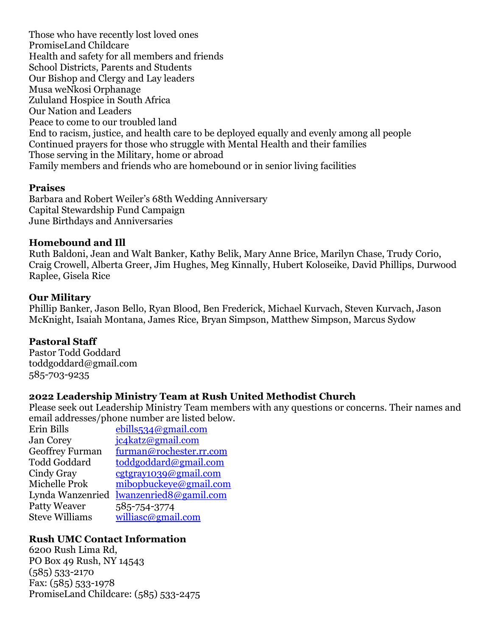Those who have recently lost loved ones PromiseLand Childcare Health and safety for all members and friends School Districts, Parents and Students Our Bishop and Clergy and Lay leaders Musa weNkosi Orphanage Zululand Hospice in South Africa Our Nation and Leaders Peace to come to our troubled land End to racism, justice, and health care to be deployed equally and evenly among all people Continued prayers for those who struggle with Mental Health and their families Those serving in the Military, home or abroad Family members and friends who are homebound or in senior living facilities

#### **Praises**

Barbara and Robert Weiler's 68th Wedding Anniversary Capital Stewardship Fund Campaign June Birthdays and Anniversaries

#### **Homebound and Ill**

Ruth Baldoni, Jean and Walt Banker, Kathy Belik, Mary Anne Brice, Marilyn Chase, Trudy Corio, Craig Crowell, Alberta Greer, Jim Hughes, Meg Kinnally, Hubert Koloseike, David Phillips, Durwood Raplee, Gisela Rice

#### **Our Military**

Phillip Banker, Jason Bello, Ryan Blood, Ben Frederick, Michael Kurvach, Steven Kurvach, Jason McKnight, Isaiah Montana, James Rice, Bryan Simpson, Matthew Simpson, Marcus Sydow

#### **Pastoral Staff**

Pastor Todd Goddard toddgoddard@gmail.com 585-703-9235

#### **2022 Leadership Ministry Team at Rush United Methodist Church**

Please seek out Leadership Ministry Team members with any questions or concerns. Their names and email addresses/phone number are listed below.

| Erin Bills            | ebills534@gmail.com     |
|-----------------------|-------------------------|
| <b>Jan Corey</b>      | jc4katz@gmail.com       |
| Geoffrey Furman       | furman@rochester.rr.com |
| <b>Todd Goddard</b>   | toddgoddard@gmail.com   |
| Cindy Gray            | cgtgray1039@gmail.com   |
| Michelle Prok         | mibopbuckeye@gmail.com  |
| Lynda Wanzenried      | lwanzenried8@gamil.com  |
| <b>Patty Weaver</b>   | 585-754-3774            |
| <b>Steve Williams</b> | williasc@gmail.com      |

#### **Rush UMC Contact Information**

6200 Rush Lima Rd, PO Box 49 Rush, NY 14543 (585) 533-2170 Fax: (585) 533-1978 PromiseLand Childcare: (585) 533-2475